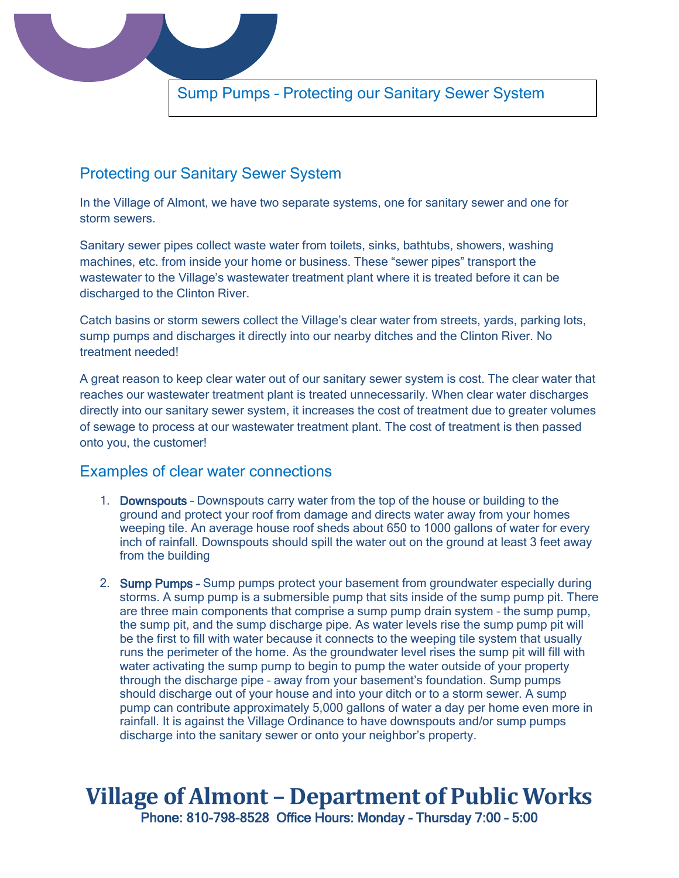

## Protecting our Sanitary Sewer System

In the Village of Almont, we have two separate systems, one for sanitary sewer and one for storm sewers.

Sanitary sewer pipes collect waste water from toilets, sinks, bathtubs, showers, washing machines, etc. from inside your home or business. These "sewer pipes" transport the wastewater to the Village's wastewater treatment plant where it is treated before it can be discharged to the Clinton River.

Catch basins or storm sewers collect the Village's clear water from streets, yards, parking lots, sump pumps and discharges it directly into our nearby ditches and the Clinton River. No treatment needed!

A great reason to keep clear water out of our sanitary sewer system is cost. The clear water that reaches our wastewater treatment plant is treated unnecessarily. When clear water discharges directly into our sanitary sewer system, it increases the cost of treatment due to greater volumes of sewage to process at our wastewater treatment plant. The cost of treatment is then passed onto you, the customer!

## Examples of clear water connections

- 1. Downspouts Downspouts carry water from the top of the house or building to the ground and protect your roof from damage and directs water away from your homes weeping tile. An average house roof sheds about 650 to 1000 gallons of water for every inch of rainfall. Downspouts should spill the water out on the ground at least 3 feet away from the building
- 2. Sump Pumps Sump pumps protect your basement from groundwater especially during storms. A sump pump is a submersible pump that sits inside of the sump pump pit. There are three main components that comprise a sump pump drain system – the sump pump, the sump pit, and the sump discharge pipe. As water levels rise the sump pump pit will be the first to fill with water because it connects to the weeping tile system that usually runs the perimeter of the home. As the groundwater level rises the sump pit will fill with water activating the sump pump to begin to pump the water outside of your property through the discharge pipe – away from your basement's foundation. Sump pumps should discharge out of your house and into your ditch or to a storm sewer. A sump pump can contribute approximately 5,000 gallons of water a day per home even more in rainfall. It is against the Village Ordinance to have downspouts and/or sump pumps discharge into the sanitary sewer or onto your neighbor's property.

## **Village of Almont – Department of Public Works** Phone: 810-798-8528 Office Hours: Monday – Thursday 7:00 – 5:00